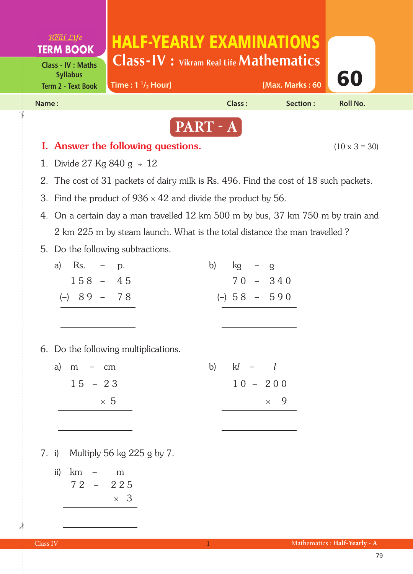

- 3. Find the product of  $936 \times 42$  and divide the product by 56.
- 4. On a certain day a man travelled 12 km 500 m by bus, 37 km 750 m by train and 2 km 225 m by steam launch. What is the total distance the man travelled ?
- 5. Do the following subtractions.

| a) Rs. $-$ p.                        | $kg - g$<br>b)           |  |  |  |  |  |  |  |
|--------------------------------------|--------------------------|--|--|--|--|--|--|--|
| $158 - 45$                           | $70 - 340$               |  |  |  |  |  |  |  |
| $(-)$ 89 - 78                        | $(-)$ 58 - 590           |  |  |  |  |  |  |  |
|                                      |                          |  |  |  |  |  |  |  |
|                                      |                          |  |  |  |  |  |  |  |
| 6. Do the following multiplications. |                          |  |  |  |  |  |  |  |
| a) $m - cm$                          | $kl - l$<br>$\mathbf{b}$ |  |  |  |  |  |  |  |
| $15 - 23$                            | $10 - 200$               |  |  |  |  |  |  |  |

 $\times$  5  $\times$  9

- 7. i) Multiply 56 kg 225 g by 7.
	- ii) km m 7 2 – 2 2 5  $\times$  3

 $\frac{1}{2}$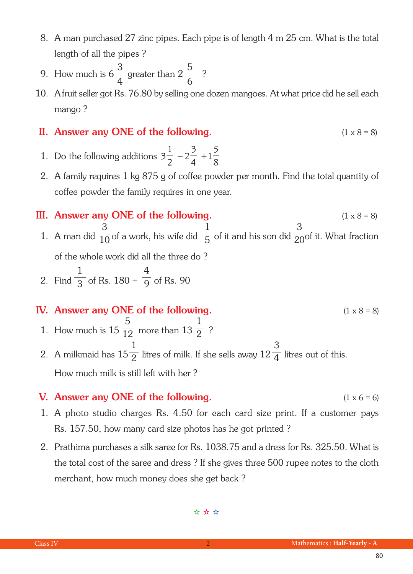- 8. A man purchased 27 zinc pipes. Each pipe is of length 4 m 25 cm. What is the total length of all the pipes ?
- 9. How much is  $6\frac{3}{4}$  greater than  $2\frac{3}{4}$  ? 3 4 5 6
- 10. A fruit seller got Rs. 76.80 by selling one dozen mangoes. At what price did he sell each mango ?

## II. Answer any ONE of the following.  $(1 \times 8 = 8)$

- 1. Do the following additions  $3\frac{1}{2} + 2\frac{3}{4} + 1\frac{5}{8}$
- 2. A family requires 1 kg 875 g of coffee powder per month. Find the total quantity of coffee powder the family requires in one year.
- III. Answer any ONE of the following.  $(1 \times 8 = 8)$ 1. A man did  $\frac{1}{10}$  of a work, his wife did  $\frac{1}{5}$  of it and his son did  $\frac{1}{20}$  of it. What fraction of the whole work did all the three do ? 2. Find  $\frac{1}{3}$  of Rs. 180 +  $\frac{1}{9}$  of Rs. 90 3 10 1 3 4 9 1 5 3 20

## IV. Answer any ONE of the following.  $(1 \times 8 = 8)$

1. How much is  $15\frac{1}{12}$  more than  $13\frac{1}{2}$  ? 5 12 1 2

2. A milkmaid has  $15\frac{1}{2}$  litres of milk. If she sells away  $12\frac{1}{4}$  litres out of this. How much milk is still left with her ? 1 2 3 4

## **V.** Answer any ONE of the following.  $(1 \times 6 = 6)$

- 1. A photo studio charges Rs. 4.50 for each card size print. If a customer pays Rs. 157.50, how many card size photos has he got printed ?
- 2. Prathima purchases a silk saree for Rs. 1038.75 and a dress for Rs. 325.50. What is the total cost of the saree and dress ? If she gives three 500 rupee notes to the cloth merchant, how much money does she get back ?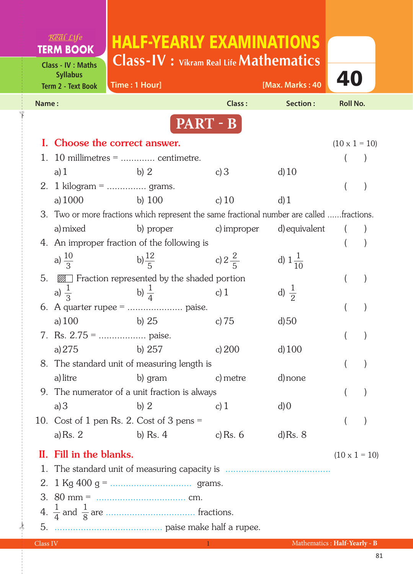|          | Real Life                                     | <b>HALF-YEARLY EXAMINATIONS</b>                                                           |                   |                    |                              |
|----------|-----------------------------------------------|-------------------------------------------------------------------------------------------|-------------------|--------------------|------------------------------|
|          | <b>TERM BOOK</b><br><b>Class - IV : Maths</b> | <b>Class-IV:</b> Vikram Real Life <b>Mathematics</b>                                      |                   |                    |                              |
|          | <b>Syllabus</b><br><b>Term 2 - Text Book</b>  | Time: 1 Hour]                                                                             |                   | [Max. Marks: 40    | 40                           |
| Name:    |                                               |                                                                                           | Class:            | Section:           | <b>Roll No.</b>              |
|          |                                               |                                                                                           | PART - B          |                    |                              |
|          |                                               | Choose the correct answer.                                                                |                   |                    | $(10 \times 1 = 10)$         |
|          |                                               | 10 millimetres $=$ centimetre.                                                            |                   |                    |                              |
|          | a) $1$                                        | b) $2$                                                                                    | c) $3$            | d(10)              |                              |
|          |                                               | 2. 1 kilogram =  grams.                                                                   |                   |                    |                              |
|          | a) 1000                                       | b) $100$                                                                                  | c) $10$           | d(1)               |                              |
|          |                                               | 3. Two or more fractions which represent the same fractional number are called fractions. |                   |                    |                              |
|          | a) mixed                                      | b) proper                                                                                 | c) improper       | d) equivalent      |                              |
|          |                                               | 4. An improper fraction of the following is                                               |                   |                    |                              |
|          | a) $\frac{10}{3}$                             | b) $\frac{12}{5}$                                                                         | c) $2\frac{2}{5}$ | d) $1\frac{1}{10}$ |                              |
| 5.       |                                               | <b>2008</b> Fraction represented by the shaded portion                                    |                   |                    |                              |
|          | a) $\frac{1}{3}$                              | b) $\frac{1}{4}$                                                                          | c) $1$            | d) $\frac{1}{2}$   |                              |
|          |                                               |                                                                                           |                   |                    |                              |
|          | a) $100$                                      | b) $25$                                                                                   | c) $75$           | $d$ ) 50           |                              |
|          |                                               |                                                                                           |                   |                    | (                            |
|          | a) 275                                        | b) $257$                                                                                  | c) $200$          | $d$ ) 100          |                              |
|          |                                               | 8. The standard unit of measuring length is                                               |                   |                    |                              |
|          | a) litre                                      | b) gram                                                                                   | c) metre          | d) none            |                              |
|          |                                               | 9. The numerator of a unit fraction is always                                             |                   |                    |                              |
|          | a)3                                           | b)2                                                                                       | c) $1$            | $d$ ) 0            |                              |
|          |                                               | 10. Cost of 1 pen Rs. 2. Cost of 3 pens $=$                                               |                   |                    |                              |
|          | a) Rs. $2$                                    | b) Rs. $4$                                                                                | c) Rs. 6          | $d$ ) Rs. $8$      |                              |
|          | II. Fill in the blanks.                       |                                                                                           |                   |                    | $(10 \times 1 = 10)$         |
|          |                                               |                                                                                           |                   |                    |                              |
|          |                                               |                                                                                           |                   |                    |                              |
|          |                                               |                                                                                           |                   |                    |                              |
|          |                                               |                                                                                           |                   |                    |                              |
| 5.       |                                               |                                                                                           |                   |                    |                              |
| Class IV |                                               |                                                                                           |                   |                    | Mathematics: Half-Yearly - B |

 $\frac{1}{2}$ 

✁